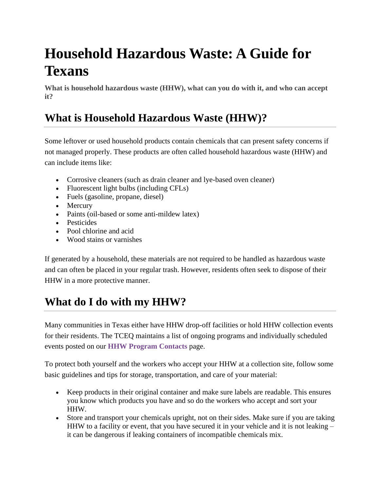# **Household Hazardous Waste: A Guide for Texans**

**What is household hazardous waste (HHW), what can you do with it, and who can accept it?**

### **What is Household Hazardous Waste (HHW)?**

Some leftover or used household products contain chemicals that can present safety concerns if not managed properly. These products are often called household hazardous waste (HHW) and can include items like:

- Corrosive cleaners (such as drain cleaner and lye-based oven cleaner)
- Fluorescent light bulbs (including CFLs)
- Fuels (gasoline, propane, diesel)
- Mercury
- Paints (oil-based or some anti-mildew latex)
- Pesticides
- Pool chlorine and acid
- Wood stains or varnishes

If generated by a household, these materials are not required to be handled as hazardous waste and can often be placed in your regular trash. However, residents often seek to dispose of their HHW in a more protective manner.

## **What do I do with my HHW?**

Many communities in Texas either have HHW drop-off facilities or hold HHW collection events for their residents. The TCEQ maintains a list of ongoing programs and individually scheduled events posted on our **[HHW Program Contacts](https://www.tceq.texas.gov/p2/hhw/contacts.html)** page.

To protect both yourself and the workers who accept your HHW at a collection site, follow some basic guidelines and tips for storage, transportation, and care of your material:

- Keep products in their original container and make sure labels are readable. This ensures you know which products you have and so do the workers who accept and sort your HHW.
- Store and transport your chemicals upright, not on their sides. Make sure if you are taking HHW to a facility or event, that you have secured it in your vehicle and it is not leaking – it can be dangerous if leaking containers of incompatible chemicals mix.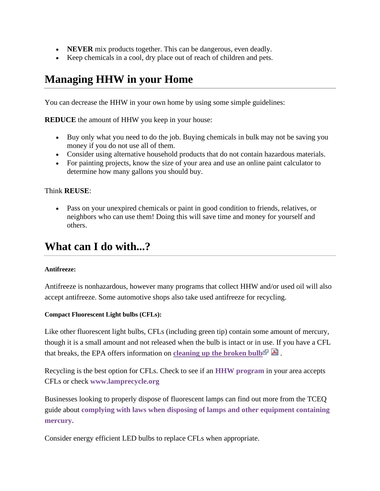- **NEVER** mix products together. This can be dangerous, even deadly.
- Keep chemicals in a cool, dry place out of reach of children and pets.

### **Managing HHW in your Home**

You can decrease the HHW in your own home by using some simple guidelines:

**REDUCE** the amount of HHW you keep in your house:

- Buy only what you need to do the job. Buying chemicals in bulk may not be saving you money if you do not use all of them.
- Consider using alternative household products that do not contain hazardous materials.
- For painting projects, know the size of your area and use an online paint calculator to determine how many gallons you should buy.

#### Think **REUSE**:

• Pass on your unexpired chemicals or paint in good condition to friends, relatives, or neighbors who can use them! Doing this will save time and money for yourself and others.

### **What can I do with...?**

#### **Antifreeze:**

Antifreeze is nonhazardous, however many programs that collect HHW and/or used oil will also accept antifreeze. Some automotive shops also take used antifreeze for recycling.

#### **Compact Fluorescent Light bulbs (CFLs):**

Like other fluorescent light bulbs, CFLs (including green tip) contain some amount of mercury, though it is a small amount and not released when the bulb is intact or in use. If you have a CFL that breaks, the EPA offers information on **[cleaning up the broken bulb](http://www.energystar.gov/ia/partners/promotions/change_light/downloads/Fact_Sheet_Mercury.pdf)**  $\mathbb{R}$ .

Recycling is the best option for CFLs. Check to see if an **[HHW program](https://www.tceq.texas.gov/p2/hhw/contacts.html)** in your area accepts CFLs or check **[www.lamprecycle.org](http://www.lamprecycle.org/)**

Businesses looking to properly dispose of fluorescent lamps can find out more from the TCEQ guide about **[complying with laws when disposing of lamps and other equipment containing](https://www.tceq.texas.gov/assets/public/comm_exec/pubs/rg/rg-377.pdf)  [mercury.](https://www.tceq.texas.gov/assets/public/comm_exec/pubs/rg/rg-377.pdf)**

Consider energy efficient LED bulbs to replace CFLs when appropriate.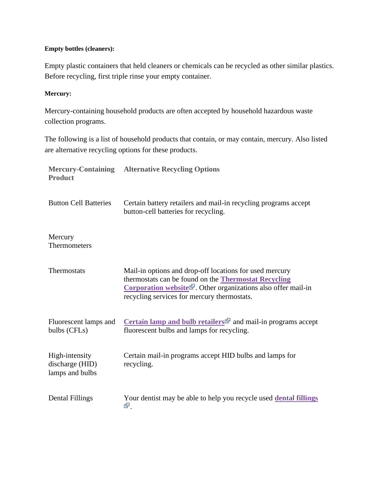#### **Empty bottles (cleaners):**

Empty plastic containers that held cleaners or chemicals can be recycled as other similar plastics. Before recycling, first triple rinse your empty container.

#### **Mercury:**

Mercury-containing household products are often accepted by household hazardous waste collection programs.

The following is a list of household products that contain, or may contain, mercury. Also listed are alternative recycling options for these products.

| <b>Product</b>                                       | <b>Mercury-Containing Alternative Recycling Options</b>                                                                                                                                                                                                                        |
|------------------------------------------------------|--------------------------------------------------------------------------------------------------------------------------------------------------------------------------------------------------------------------------------------------------------------------------------|
| <b>Button Cell Batteries</b>                         | Certain battery retailers and mail-in recycling programs accept<br>button-cell batteries for recycling.                                                                                                                                                                        |
| Mercury<br>Thermometers                              |                                                                                                                                                                                                                                                                                |
| Thermostats                                          | Mail-in options and drop-off locations for used mercury<br>thermostats can be found on the <b>Thermostat Recycling</b><br><b>Corporation website<sup><math>\mathbb{F}</math></sup></b> . Other organizations also offer mail-in<br>recycling services for mercury thermostats. |
| Fluorescent lamps and<br>bulbs (CFLs)                | Certain lamp and bulb retailers $\blacksquare$ and mail-in programs accept<br>fluorescent bulbs and lamps for recycling.                                                                                                                                                       |
| High-intensity<br>discharge (HID)<br>lamps and bulbs | Certain mail-in programs accept HID bulbs and lamps for<br>recycling.                                                                                                                                                                                                          |
| <b>Dental Fillings</b>                               | Your dentist may be able to help you recycle used <b>dental fillings</b><br>ঔ.                                                                                                                                                                                                 |